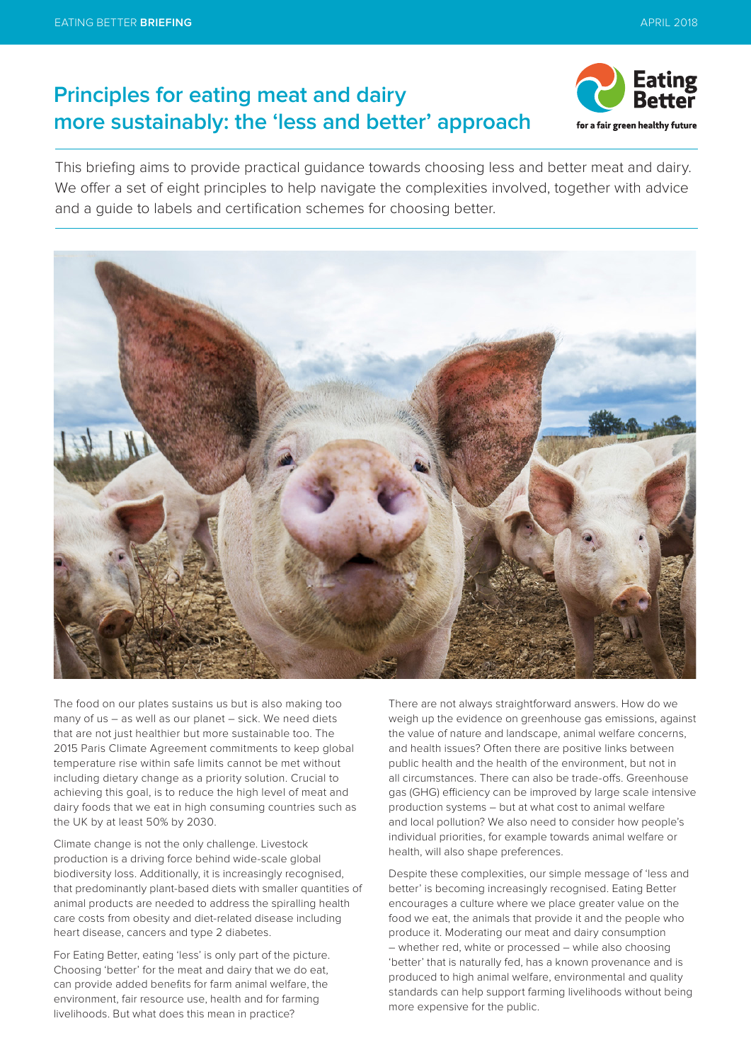# **Principles for eating meat and dairy more sustainably: the 'less and better' approach**



This briefing aims to provide practical guidance towards choosing less and better meat and dairy. We offer a set of eight principles to help navigate the complexities involved, together with advice and a guide to labels and certification schemes for choosing better.



The food on our plates sustains us but is also making too many of us – as well as our planet – sick. We need diets that are not just healthier but more sustainable too. The 2015 Paris Climate Agreement commitments to keep global temperature rise within safe limits cannot be met without including dietary change as a priority solution. Crucial to achieving this goal, is to reduce the high level of meat and dairy foods that we eat in high consuming countries such as the UK by at least 50% by 2030.

Climate change is not the only challenge. Livestock production is a driving force behind wide-scale global biodiversity loss. Additionally, it is increasingly recognised, that predominantly plant-based diets with smaller quantities of animal products are needed to address the spiralling health care costs from obesity and diet-related disease including heart disease, cancers and type 2 diabetes.

For Eating Better, eating 'less' is only part of the picture. Choosing 'better' for the meat and dairy that we do eat, can provide added benefits for farm animal welfare, the environment, fair resource use, health and for farming livelihoods. But what does this mean in practice?

There are not always straightforward answers. How do we weigh up the evidence on greenhouse gas emissions, against the value of nature and landscape, animal welfare concerns, and health issues? Often there are positive links between public health and the health of the environment, but not in all circumstances. There can also be trade-offs. Greenhouse gas (GHG) efficiency can be improved by large scale intensive production systems – but at what cost to animal welfare and local pollution? We also need to consider how people's individual priorities, for example towards animal welfare or health, will also shape preferences.

Despite these complexities, our simple message of 'less and better' is becoming increasingly recognised. Eating Better encourages a culture where we place greater value on the food we eat, the animals that provide it and the people who produce it. Moderating our meat and dairy consumption – whether red, white or processed – while also choosing 'better' that is naturally fed, has a known provenance and is produced to high animal welfare, environmental and quality standards can help support farming livelihoods without being more expensive for the public.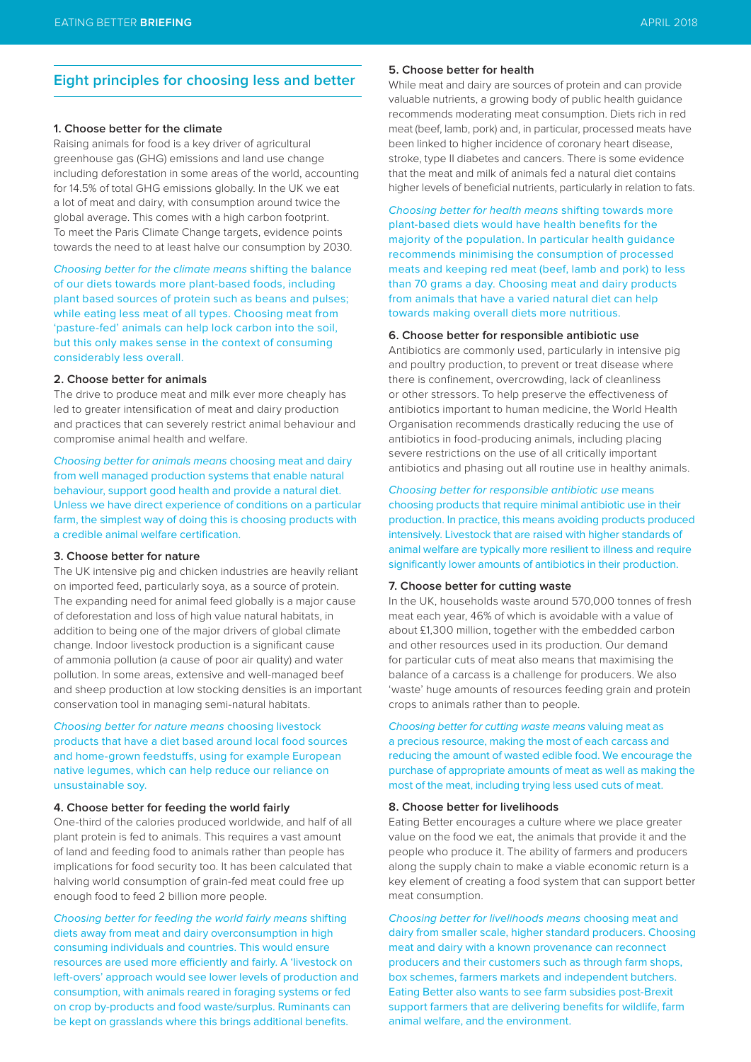## **Eight principles for choosing less and better**

## **1. Choose better for the climate**

Raising animals for food is a key driver of agricultural greenhouse gas (GHG) emissions and land use change including deforestation in some areas of the world, accounting for 14.5% of total GHG emissions globally. In the UK we eat a lot of meat and dairy, with consumption around twice the global average. This comes with a high carbon footprint. To meet the Paris Climate Change targets, evidence points towards the need to at least halve our consumption by 2030.

Choosing better for the climate means shifting the balance of our diets towards more plant-based foods, including plant based sources of protein such as beans and pulses; while eating less meat of all types. Choosing meat from 'pasture-fed' animals can help lock carbon into the soil, but this only makes sense in the context of consuming considerably less overall.

## **2. Choose better for animals**

The drive to produce meat and milk ever more cheaply has led to greater intensification of meat and dairy production and practices that can severely restrict animal behaviour and compromise animal health and welfare.

Choosing better for animals means choosing meat and dairy from well managed production systems that enable natural behaviour, support good health and provide a natural diet. Unless we have direct experience of conditions on a particular farm, the simplest way of doing this is choosing products with a credible animal welfare certification.

#### **3. Choose better for nature**

The UK intensive pig and chicken industries are heavily reliant on imported feed, particularly soya, as a source of protein. The expanding need for animal feed globally is a major cause of deforestation and loss of high value natural habitats, in addition to being one of the major drivers of global climate change. Indoor livestock production is a significant cause of ammonia pollution (a cause of poor air quality) and water pollution. In some areas, extensive and well-managed beef and sheep production at low stocking densities is an important conservation tool in managing semi-natural habitats.

## Choosing better for nature means choosing livestock products that have a diet based around local food sources and home-grown feedstuffs, using for example European native legumes, which can help reduce our reliance on unsustainable soy.

## **4. Choose better for feeding the world fairly**

One-third of the calories produced worldwide, and half of all plant protein is fed to animals. This requires a vast amount of land and feeding food to animals rather than people has implications for food security too. It has been calculated that halving world consumption of grain-fed meat could free up enough food to feed 2 billion more people.

Choosing better for feeding the world fairly means shifting diets away from meat and dairy overconsumption in high consuming individuals and countries. This would ensure resources are used more efficiently and fairly. A 'livestock on left-overs' approach would see lower levels of production and consumption, with animals reared in foraging systems or fed on crop by-products and food waste/surplus. Ruminants can be kept on grasslands where this brings additional benefits.

#### **5. Choose better for health**

While meat and dairy are sources of protein and can provide valuable nutrients, a growing body of public health guidance recommends moderating meat consumption. Diets rich in red meat (beef, lamb, pork) and, in particular, processed meats have been linked to higher incidence of coronary heart disease, stroke, type II diabetes and cancers. There is some evidence that the meat and milk of animals fed a natural diet contains higher levels of beneficial nutrients, particularly in relation to fats.

Choosing better for health means shifting towards more plant-based diets would have health benefits for the majority of the population. In particular health guidance recommends minimising the consumption of processed meats and keeping red meat (beef, lamb and pork) to less than 70 grams a day. Choosing meat and dairy products from animals that have a varied natural diet can help towards making overall diets more nutritious.

#### **6. Choose better for responsible antibiotic use**

Antibiotics are commonly used, particularly in intensive pig and poultry production, to prevent or treat disease where there is confinement, overcrowding, lack of cleanliness or other stressors. To help preserve the effectiveness of antibiotics important to human medicine, the World Health Organisation recommends drastically reducing the use of antibiotics in food-producing animals, including placing severe restrictions on the use of all critically important antibiotics and phasing out all routine use in healthy animals.

Choosing better for responsible antibiotic use means choosing products that require minimal antibiotic use in their production. In practice, this means avoiding products produced intensively. Livestock that are raised with higher standards of animal welfare are typically more resilient to illness and require significantly lower amounts of antibiotics in their production.

## **7. Choose better for cutting waste**

In the UK, households waste around 570,000 tonnes of fresh meat each year, 46% of which is avoidable with a value of about £1,300 million, together with the embedded carbon and other resources used in its production. Our demand for particular cuts of meat also means that maximising the balance of a carcass is a challenge for producers. We also 'waste' huge amounts of resources feeding grain and protein crops to animals rather than to people.

Choosing better for cutting waste means valuing meat as a precious resource, making the most of each carcass and reducing the amount of wasted edible food. We encourage the purchase of appropriate amounts of meat as well as making the most of the meat, including trying less used cuts of meat.

#### **8. Choose better for livelihoods**

Eating Better encourages a culture where we place greater value on the food we eat, the animals that provide it and the people who produce it. The ability of farmers and producers along the supply chain to make a viable economic return is a key element of creating a food system that can support better meat consumption.

Choosing better for livelihoods means choosing meat and dairy from smaller scale, higher standard producers. Choosing meat and dairy with a known provenance can reconnect producers and their customers such as through farm shops, box schemes, farmers markets and independent butchers. Eating Better also wants to see farm subsidies post-Brexit support farmers that are delivering benefits for wildlife, farm animal welfare, and the environment.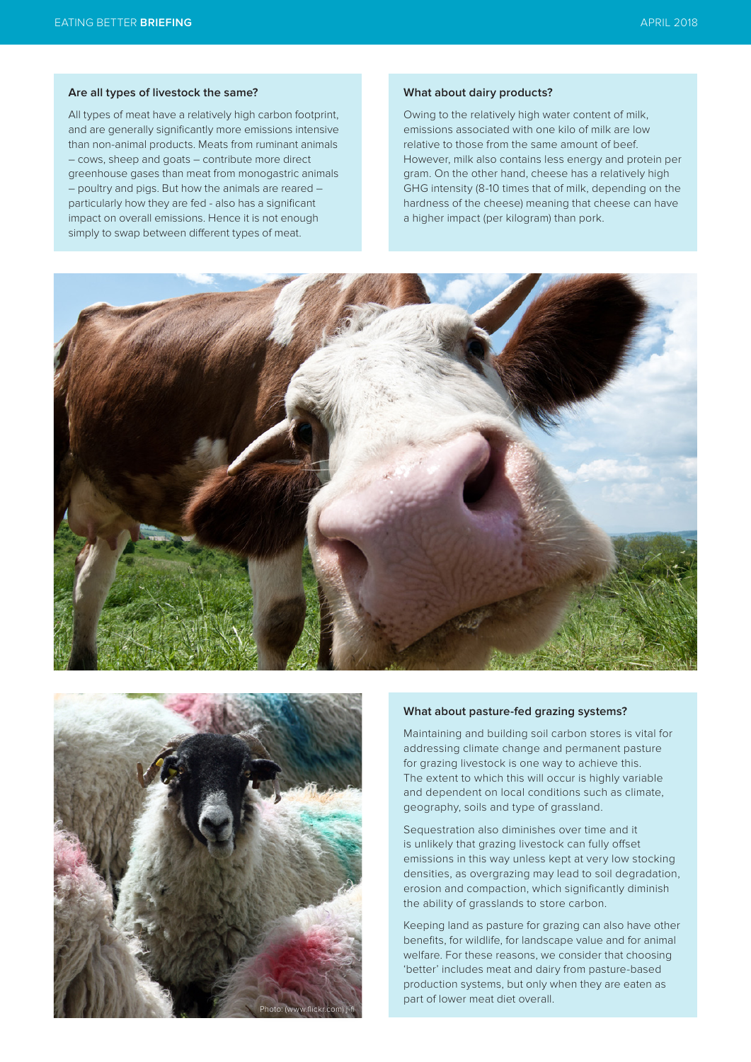#### **Are all types of livestock the same?**

All types of meat have a relatively high carbon footprint, and are generally significantly more emissions intensive than non-animal products. Meats from ruminant animals – cows, sheep and goats – contribute more direct greenhouse gases than meat from monogastric animals – poultry and pigs. But how the animals are reared – particularly how they are fed - also has a significant impact on overall emissions. Hence it is not enough simply to swap between different types of meat.

#### **What about dairy products?**

Owing to the relatively high water content of milk, emissions associated with one kilo of milk are low relative to those from the same amount of beef. However, milk also contains less energy and protein per gram. On the other hand, cheese has a relatively high GHG intensity (8-10 times that of milk, depending on the hardness of the cheese) meaning that cheese can have a higher impact (per kilogram) than pork.





#### **What about pasture-fed grazing systems?**

Maintaining and building soil carbon stores is vital for addressing climate change and permanent pasture for grazing livestock is one way to achieve this. The extent to which this will occur is highly variable and dependent on local conditions such as climate, geography, soils and type of grassland.

Sequestration also diminishes over time and it is unlikely that grazing livestock can fully offset emissions in this way unless kept at very low stocking densities, as overgrazing may lead to soil degradation, erosion and compaction, which significantly diminish the ability of grasslands to store carbon.

Keeping land as pasture for grazing can also have other benefits, for wildlife, for landscape value and for animal welfare. For these reasons, we consider that choosing 'better' includes meat and dairy from pasture-based production systems, but only when they are eaten as part of lower meat diet overall.